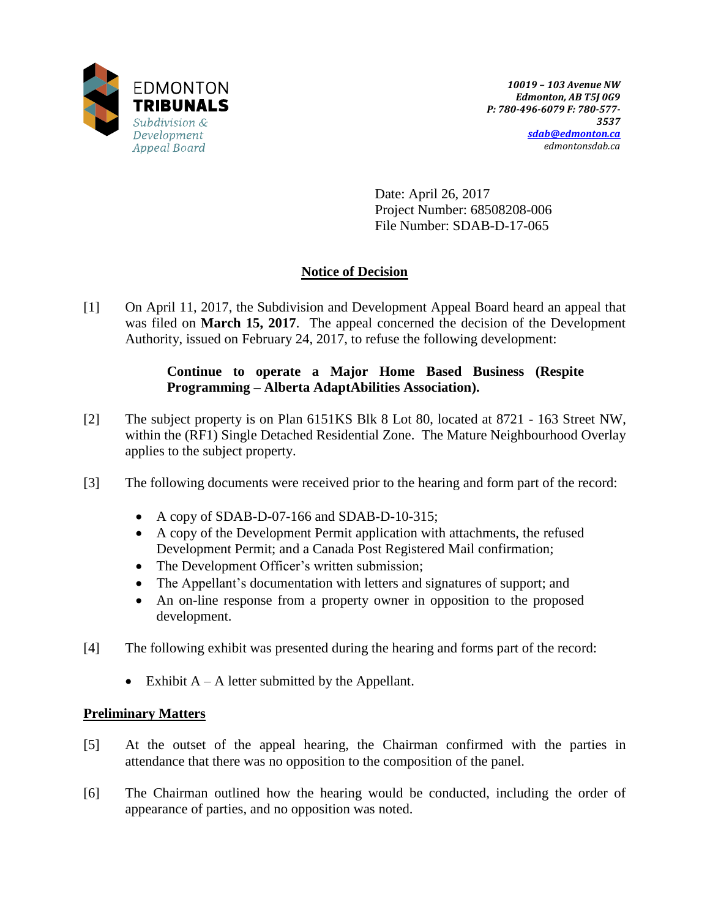

Date: April 26, 2017 Project Number: 68508208-006 File Number: SDAB-D-17-065

# **Notice of Decision**

[1] On April 11, 2017, the Subdivision and Development Appeal Board heard an appeal that was filed on **March 15, 2017**. The appeal concerned the decision of the Development Authority, issued on February 24, 2017, to refuse the following development:

### **Continue to operate a Major Home Based Business (Respite Programming – Alberta AdaptAbilities Association).**

- [2] The subject property is on Plan 6151KS Blk 8 Lot 80, located at 8721 163 Street NW, within the (RF1) Single Detached Residential Zone. The Mature Neighbourhood Overlay applies to the subject property.
- [3] The following documents were received prior to the hearing and form part of the record:
	- A copy of SDAB-D-07-166 and SDAB-D-10-315;
	- A copy of the Development Permit application with attachments, the refused Development Permit; and a Canada Post Registered Mail confirmation;
	- The Development Officer's written submission;
	- The Appellant's documentation with letters and signatures of support; and
	- An on-line response from a property owner in opposition to the proposed development.
- [4] The following exhibit was presented during the hearing and forms part of the record:
	- Exhibit  $A A$  letter submitted by the Appellant.

### **Preliminary Matters**

- [5] At the outset of the appeal hearing, the Chairman confirmed with the parties in attendance that there was no opposition to the composition of the panel.
- [6] The Chairman outlined how the hearing would be conducted, including the order of appearance of parties, and no opposition was noted.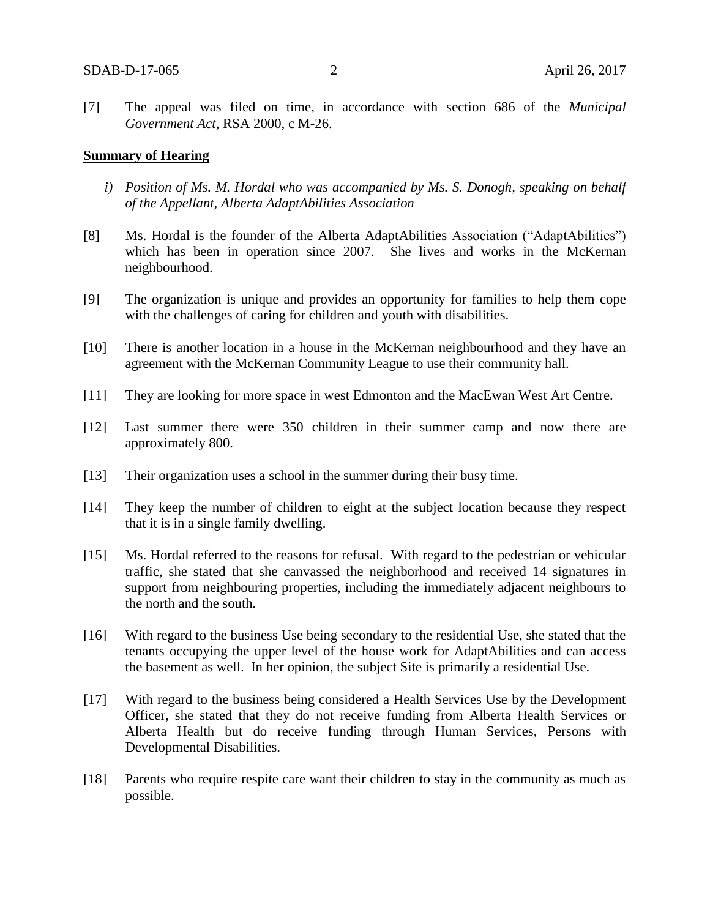[7] The appeal was filed on time, in accordance with section 686 of the *Municipal Government Act*, RSA 2000, c M-26.

#### **Summary of Hearing**

- *i) Position of Ms. M. Hordal who was accompanied by Ms. S. Donogh, speaking on behalf of the Appellant, Alberta AdaptAbilities Association*
- [8] Ms. Hordal is the founder of the Alberta AdaptAbilities Association ("AdaptAbilities") which has been in operation since 2007. She lives and works in the McKernan neighbourhood.
- [9] The organization is unique and provides an opportunity for families to help them cope with the challenges of caring for children and youth with disabilities.
- [10] There is another location in a house in the McKernan neighbourhood and they have an agreement with the McKernan Community League to use their community hall.
- [11] They are looking for more space in west Edmonton and the MacEwan West Art Centre.
- [12] Last summer there were 350 children in their summer camp and now there are approximately 800.
- [13] Their organization uses a school in the summer during their busy time.
- [14] They keep the number of children to eight at the subject location because they respect that it is in a single family dwelling.
- [15] Ms. Hordal referred to the reasons for refusal. With regard to the pedestrian or vehicular traffic, she stated that she canvassed the neighborhood and received 14 signatures in support from neighbouring properties, including the immediately adjacent neighbours to the north and the south.
- [16] With regard to the business Use being secondary to the residential Use, she stated that the tenants occupying the upper level of the house work for AdaptAbilities and can access the basement as well. In her opinion, the subject Site is primarily a residential Use.
- [17] With regard to the business being considered a Health Services Use by the Development Officer, she stated that they do not receive funding from Alberta Health Services or Alberta Health but do receive funding through Human Services, Persons with Developmental Disabilities.
- [18] Parents who require respite care want their children to stay in the community as much as possible.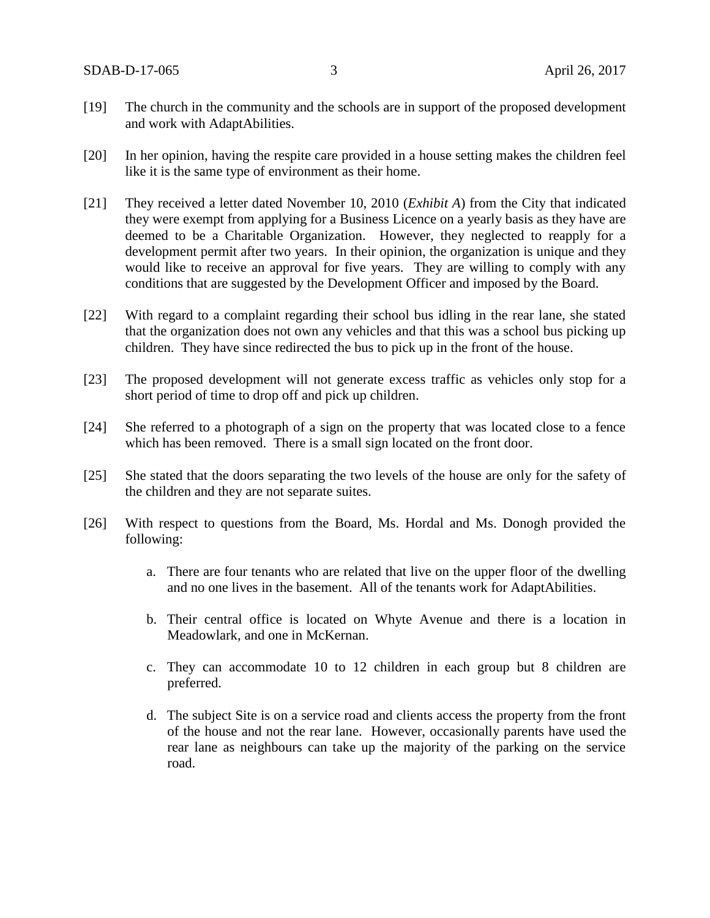- [19] The church in the community and the schools are in support of the proposed development and work with AdaptAbilities.
- [20] In her opinion, having the respite care provided in a house setting makes the children feel like it is the same type of environment as their home.
- [21] They received a letter dated November 10, 2010 (*Exhibit A*) from the City that indicated they were exempt from applying for a Business Licence on a yearly basis as they have are deemed to be a Charitable Organization. However, they neglected to reapply for a development permit after two years. In their opinion, the organization is unique and they would like to receive an approval for five years. They are willing to comply with any conditions that are suggested by the Development Officer and imposed by the Board.
- [22] With regard to a complaint regarding their school bus idling in the rear lane, she stated that the organization does not own any vehicles and that this was a school bus picking up children. They have since redirected the bus to pick up in the front of the house.
- [23] The proposed development will not generate excess traffic as vehicles only stop for a short period of time to drop off and pick up children.
- [24] She referred to a photograph of a sign on the property that was located close to a fence which has been removed. There is a small sign located on the front door.
- [25] She stated that the doors separating the two levels of the house are only for the safety of the children and they are not separate suites.
- [26] With respect to questions from the Board, Ms. Hordal and Ms. Donogh provided the following:
	- a. There are four tenants who are related that live on the upper floor of the dwelling and no one lives in the basement. All of the tenants work for AdaptAbilities.
	- b. Their central office is located on Whyte Avenue and there is a location in Meadowlark, and one in McKernan.
	- c. They can accommodate 10 to 12 children in each group but 8 children are preferred.
	- d. The subject Site is on a service road and clients access the property from the front of the house and not the rear lane. However, occasionally parents have used the rear lane as neighbours can take up the majority of the parking on the service road.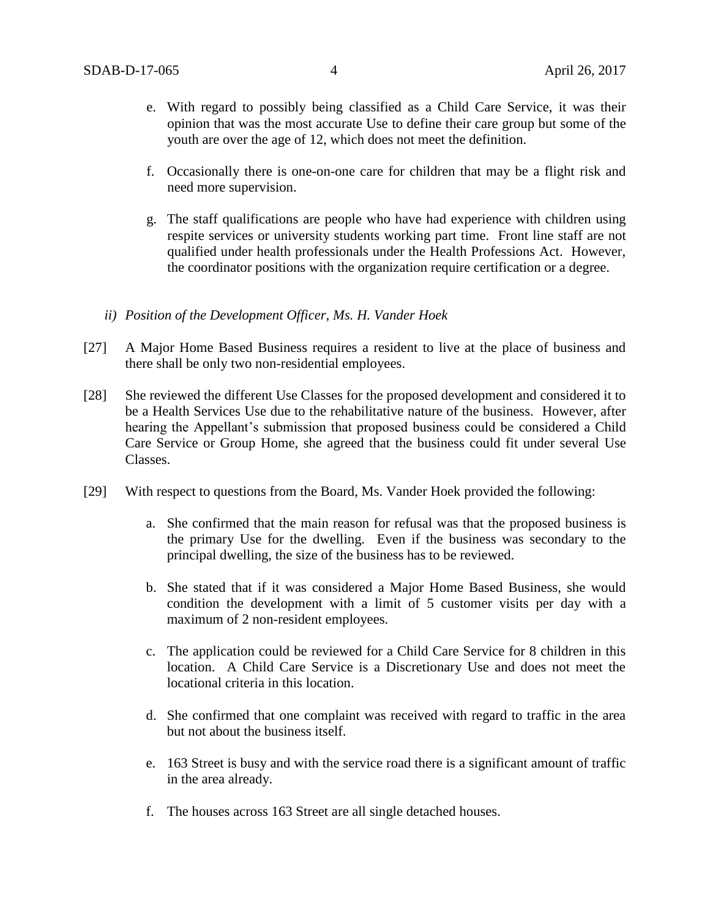- e. With regard to possibly being classified as a Child Care Service, it was their opinion that was the most accurate Use to define their care group but some of the youth are over the age of 12, which does not meet the definition.
- f. Occasionally there is one-on-one care for children that may be a flight risk and need more supervision.
- g. The staff qualifications are people who have had experience with children using respite services or university students working part time. Front line staff are not qualified under health professionals under the Health Professions Act. However, the coordinator positions with the organization require certification or a degree.
- *ii) Position of the Development Officer, Ms. H. Vander Hoek*
- [27] A Major Home Based Business requires a resident to live at the place of business and there shall be only two non-residential employees.
- [28] She reviewed the different Use Classes for the proposed development and considered it to be a Health Services Use due to the rehabilitative nature of the business. However, after hearing the Appellant's submission that proposed business could be considered a Child Care Service or Group Home, she agreed that the business could fit under several Use Classes.
- [29] With respect to questions from the Board, Ms. Vander Hoek provided the following:
	- a. She confirmed that the main reason for refusal was that the proposed business is the primary Use for the dwelling. Even if the business was secondary to the principal dwelling, the size of the business has to be reviewed.
	- b. She stated that if it was considered a Major Home Based Business, she would condition the development with a limit of 5 customer visits per day with a maximum of 2 non-resident employees.
	- c. The application could be reviewed for a Child Care Service for 8 children in this location. A Child Care Service is a Discretionary Use and does not meet the locational criteria in this location.
	- d. She confirmed that one complaint was received with regard to traffic in the area but not about the business itself.
	- e. 163 Street is busy and with the service road there is a significant amount of traffic in the area already.
	- f. The houses across 163 Street are all single detached houses.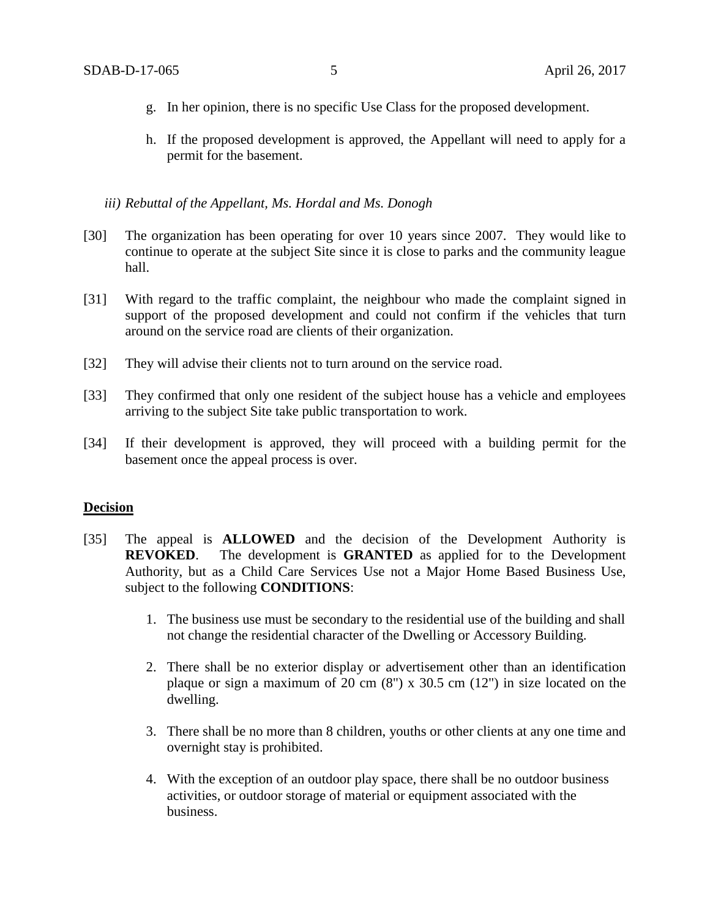- g. In her opinion, there is no specific Use Class for the proposed development.
- h. If the proposed development is approved, the Appellant will need to apply for a permit for the basement.

*iii) Rebuttal of the Appellant, Ms. Hordal and Ms. Donogh*

- [30] The organization has been operating for over 10 years since 2007. They would like to continue to operate at the subject Site since it is close to parks and the community league hall.
- [31] With regard to the traffic complaint, the neighbour who made the complaint signed in support of the proposed development and could not confirm if the vehicles that turn around on the service road are clients of their organization.
- [32] They will advise their clients not to turn around on the service road.
- [33] They confirmed that only one resident of the subject house has a vehicle and employees arriving to the subject Site take public transportation to work.
- [34] If their development is approved, they will proceed with a building permit for the basement once the appeal process is over.

#### **Decision**

- [35] The appeal is **ALLOWED** and the decision of the Development Authority is **REVOKED**. The development is **GRANTED** as applied for to the Development Authority, but as a Child Care Services Use not a Major Home Based Business Use, subject to the following **CONDITIONS**:
	- 1. The business use must be secondary to the residential use of the building and shall not change the residential character of the Dwelling or Accessory Building.
	- 2. There shall be no exterior display or advertisement other than an identification plaque or sign a maximum of 20 cm  $(8)$  x 30.5 cm  $(12)$  in size located on the dwelling.
	- 3. There shall be no more than 8 children, youths or other clients at any one time and overnight stay is prohibited.
	- 4. With the exception of an outdoor play space, there shall be no outdoor business activities, or outdoor storage of material or equipment associated with the business.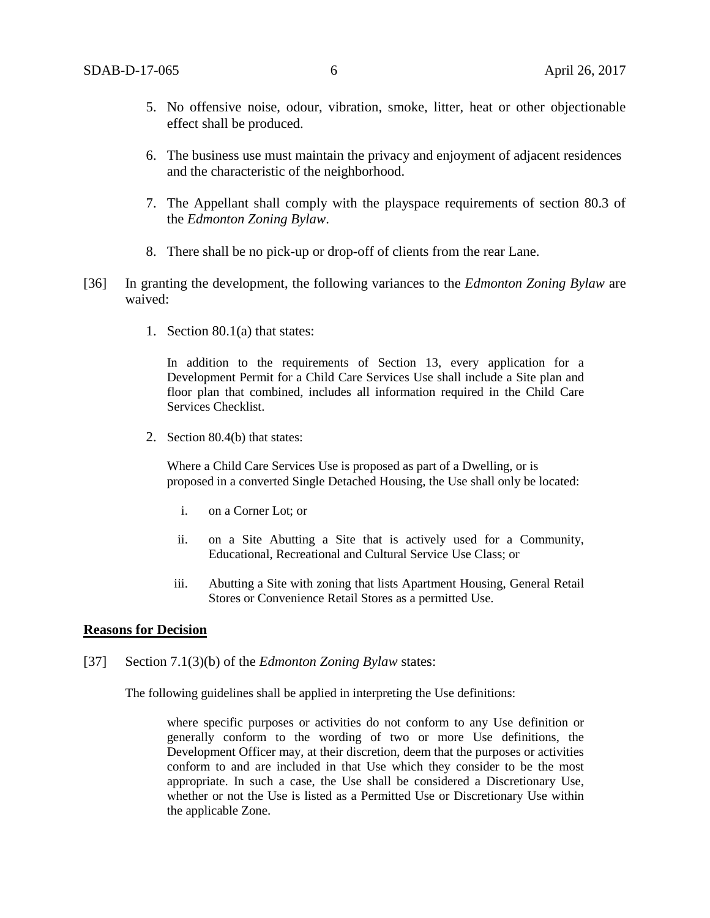- 5. No offensive noise, odour, vibration, smoke, litter, heat or other objectionable effect shall be produced.
- 6. The business use must maintain the privacy and enjoyment of adjacent residences and the characteristic of the neighborhood.
- 7. The Appellant shall comply with the playspace requirements of section 80.3 of the *Edmonton Zoning Bylaw*.
- 8. There shall be no pick-up or drop-off of clients from the rear Lane.
- [36] In granting the development, the following variances to the *Edmonton Zoning Bylaw* are waived:
	- 1. Section 80.1(a) that states:

In addition to the requirements of Section 13, every application for a Development Permit for a Child Care Services Use shall include a Site plan and floor plan that combined, includes all information required in the Child Care Services Checklist.

2. Section 80.4(b) that states:

Where a Child Care Services Use is proposed as part of a Dwelling, or is proposed in a converted Single Detached Housing, the Use shall only be located:

- i. on a Corner Lot; or
- ii. on a Site Abutting a Site that is actively used for a Community, Educational, Recreational and Cultural Service Use Class; or
- iii. Abutting a Site with zoning that lists Apartment Housing, General Retail Stores or Convenience Retail Stores as a permitted Use.

#### **Reasons for Decision**

[37] Section 7.1(3)(b) of the *Edmonton Zoning Bylaw* states:

The following guidelines shall be applied in interpreting the Use definitions:

where specific purposes or activities do not conform to any Use definition or generally conform to the wording of two or more Use definitions, the Development Officer may, at their discretion, deem that the purposes or activities conform to and are included in that Use which they consider to be the most appropriate. In such a case, the Use shall be considered a Discretionary Use, whether or not the Use is listed as a Permitted Use or Discretionary Use within the applicable Zone.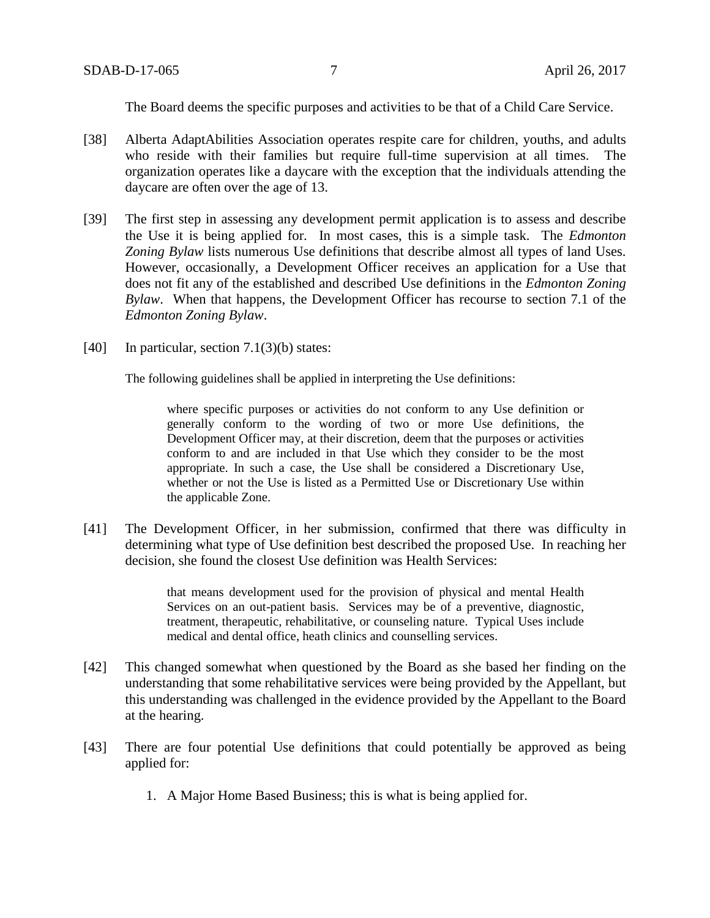The Board deems the specific purposes and activities to be that of a Child Care Service.

- [38] Alberta AdaptAbilities Association operates respite care for children, youths, and adults who reside with their families but require full-time supervision at all times. The organization operates like a daycare with the exception that the individuals attending the daycare are often over the age of 13.
- [39] The first step in assessing any development permit application is to assess and describe the Use it is being applied for. In most cases, this is a simple task. The *Edmonton Zoning Bylaw* lists numerous Use definitions that describe almost all types of land Uses. However, occasionally, a Development Officer receives an application for a Use that does not fit any of the established and described Use definitions in the *Edmonton Zoning Bylaw*. When that happens, the Development Officer has recourse to section 7.1 of the *Edmonton Zoning Bylaw*.
- [40] In particular, section  $7.1(3)(b)$  states:

The following guidelines shall be applied in interpreting the Use definitions:

where specific purposes or activities do not conform to any Use definition or generally conform to the wording of two or more Use definitions, the Development Officer may, at their discretion, deem that the purposes or activities conform to and are included in that Use which they consider to be the most appropriate. In such a case, the Use shall be considered a Discretionary Use, whether or not the Use is listed as a Permitted Use or Discretionary Use within the applicable Zone.

[41] The Development Officer, in her submission, confirmed that there was difficulty in determining what type of Use definition best described the proposed Use. In reaching her decision, she found the closest Use definition was Health Services:

> that means development used for the provision of physical and mental Health Services on an out-patient basis. Services may be of a preventive, diagnostic, treatment, therapeutic, rehabilitative, or counseling nature. Typical Uses include medical and dental office, heath clinics and counselling services.

- [42] This changed somewhat when questioned by the Board as she based her finding on the understanding that some rehabilitative services were being provided by the Appellant, but this understanding was challenged in the evidence provided by the Appellant to the Board at the hearing.
- [43] There are four potential Use definitions that could potentially be approved as being applied for:
	- 1. A Major Home Based Business; this is what is being applied for.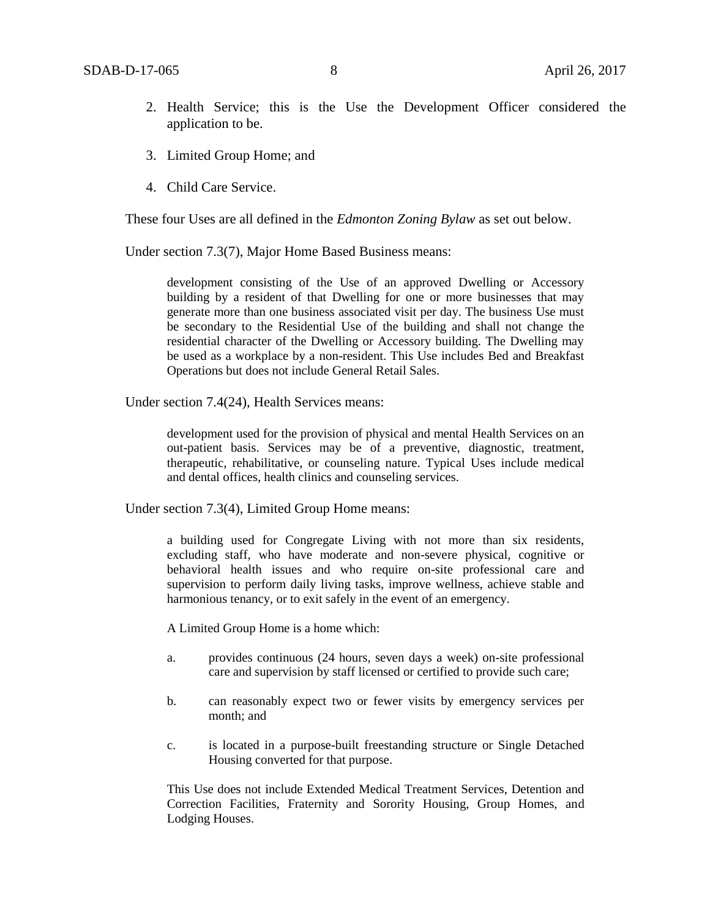- 2. Health Service; this is the Use the Development Officer considered the application to be.
- 3. Limited Group Home; and
- 4. Child Care Service.

These four Uses are all defined in the *Edmonton Zoning Bylaw* as set out below.

Under section 7.3(7), Major Home Based Business means:

development consisting of the Use of an approved Dwelling or Accessory building by a resident of that Dwelling for one or more businesses that may generate more than one business associated visit per day. The business Use must be secondary to the Residential Use of the building and shall not change the residential character of the Dwelling or Accessory building. The Dwelling may be used as a workplace by a non-resident. This Use includes Bed and Breakfast Operations but does not include General Retail Sales.

Under section 7.4(24), Health Services means:

development used for the provision of physical and mental Health Services on an out-patient basis. Services may be of a preventive, diagnostic, treatment, therapeutic, rehabilitative, or counseling nature. Typical Uses include medical and dental offices, health clinics and counseling services.

Under section 7.3(4), Limited Group Home means:

a building used for Congregate Living with not more than six residents, excluding staff, who have moderate and non-severe physical, cognitive or behavioral health issues and who require on-site professional care and supervision to perform daily living tasks, improve wellness, achieve stable and harmonious tenancy, or to exit safely in the event of an emergency.

A Limited Group Home is a home which:

- a. provides continuous (24 hours, seven days a week) on-site professional care and supervision by staff licensed or certified to provide such care;
- b. can reasonably expect two or fewer visits by emergency services per month; and
- c. is located in a purpose-built freestanding structure or Single Detached Housing converted for that purpose.

This Use does not include Extended Medical Treatment Services, Detention and Correction Facilities, Fraternity and Sorority Housing, Group Homes, and Lodging Houses.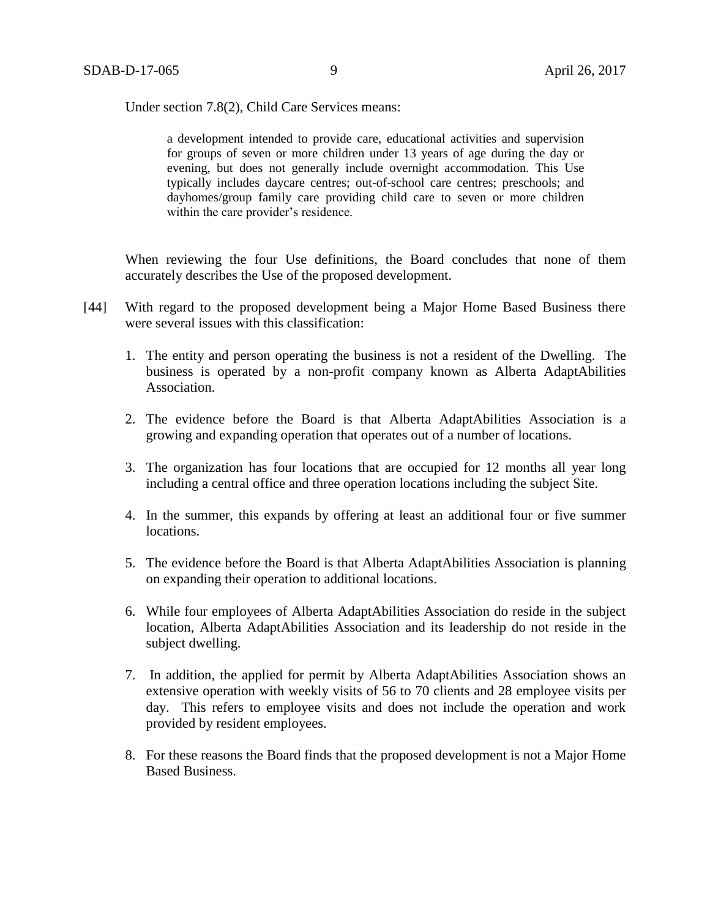Under section 7.8(2), Child Care Services means:

a development intended to provide care, educational activities and supervision for groups of seven or more children under 13 years of age during the day or evening, but does not generally include overnight accommodation. This Use typically includes daycare centres; out-of-school care centres; preschools; and dayhomes/group family care providing child care to seven or more children within the care provider's residence.

When reviewing the four Use definitions, the Board concludes that none of them accurately describes the Use of the proposed development.

- [44] With regard to the proposed development being a Major Home Based Business there were several issues with this classification:
	- 1. The entity and person operating the business is not a resident of the Dwelling. The business is operated by a non-profit company known as Alberta AdaptAbilities Association.
	- 2. The evidence before the Board is that Alberta AdaptAbilities Association is a growing and expanding operation that operates out of a number of locations.
	- 3. The organization has four locations that are occupied for 12 months all year long including a central office and three operation locations including the subject Site.
	- 4. In the summer, this expands by offering at least an additional four or five summer locations.
	- 5. The evidence before the Board is that Alberta AdaptAbilities Association is planning on expanding their operation to additional locations.
	- 6. While four employees of Alberta AdaptAbilities Association do reside in the subject location, Alberta AdaptAbilities Association and its leadership do not reside in the subject dwelling.
	- 7. In addition, the applied for permit by Alberta AdaptAbilities Association shows an extensive operation with weekly visits of 56 to 70 clients and 28 employee visits per day. This refers to employee visits and does not include the operation and work provided by resident employees.
	- 8. For these reasons the Board finds that the proposed development is not a Major Home Based Business.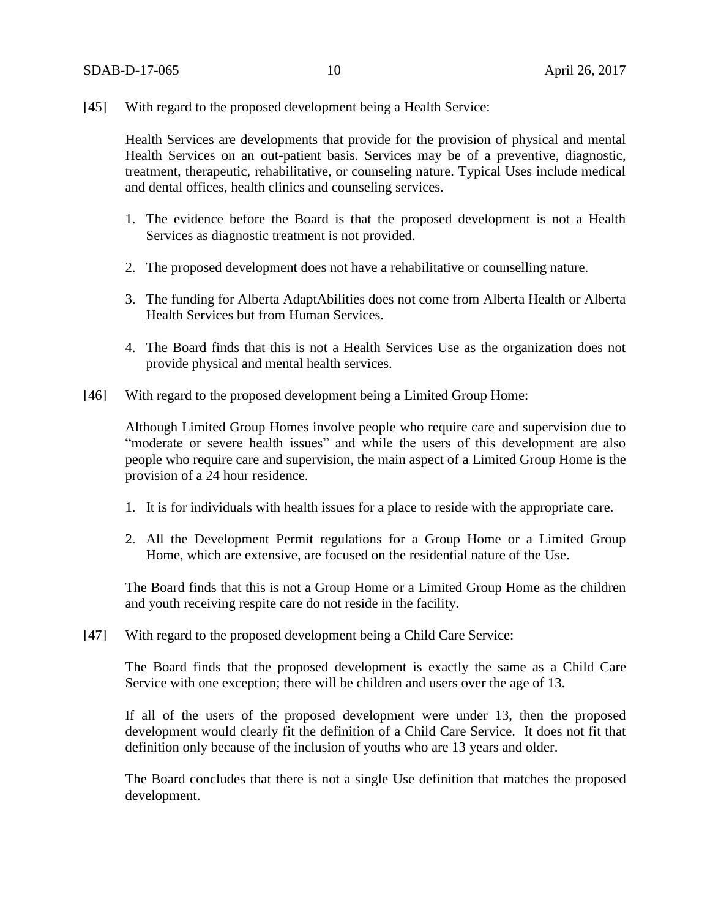[45] With regard to the proposed development being a Health Service:

Health Services are developments that provide for the provision of physical and mental Health Services on an out-patient basis. Services may be of a preventive, diagnostic, treatment, therapeutic, rehabilitative, or counseling nature. Typical Uses include medical and dental offices, health clinics and counseling services.

- 1. The evidence before the Board is that the proposed development is not a Health Services as diagnostic treatment is not provided.
- 2. The proposed development does not have a rehabilitative or counselling nature.
- 3. The funding for Alberta AdaptAbilities does not come from Alberta Health or Alberta Health Services but from Human Services.
- 4. The Board finds that this is not a Health Services Use as the organization does not provide physical and mental health services.
- [46] With regard to the proposed development being a Limited Group Home:

Although Limited Group Homes involve people who require care and supervision due to "moderate or severe health issues" and while the users of this development are also people who require care and supervision, the main aspect of a Limited Group Home is the provision of a 24 hour residence.

- 1. It is for individuals with health issues for a place to reside with the appropriate care.
- 2. All the Development Permit regulations for a Group Home or a Limited Group Home, which are extensive, are focused on the residential nature of the Use.

The Board finds that this is not a Group Home or a Limited Group Home as the children and youth receiving respite care do not reside in the facility.

[47] With regard to the proposed development being a Child Care Service:

The Board finds that the proposed development is exactly the same as a Child Care Service with one exception; there will be children and users over the age of 13.

If all of the users of the proposed development were under 13, then the proposed development would clearly fit the definition of a Child Care Service. It does not fit that definition only because of the inclusion of youths who are 13 years and older.

The Board concludes that there is not a single Use definition that matches the proposed development.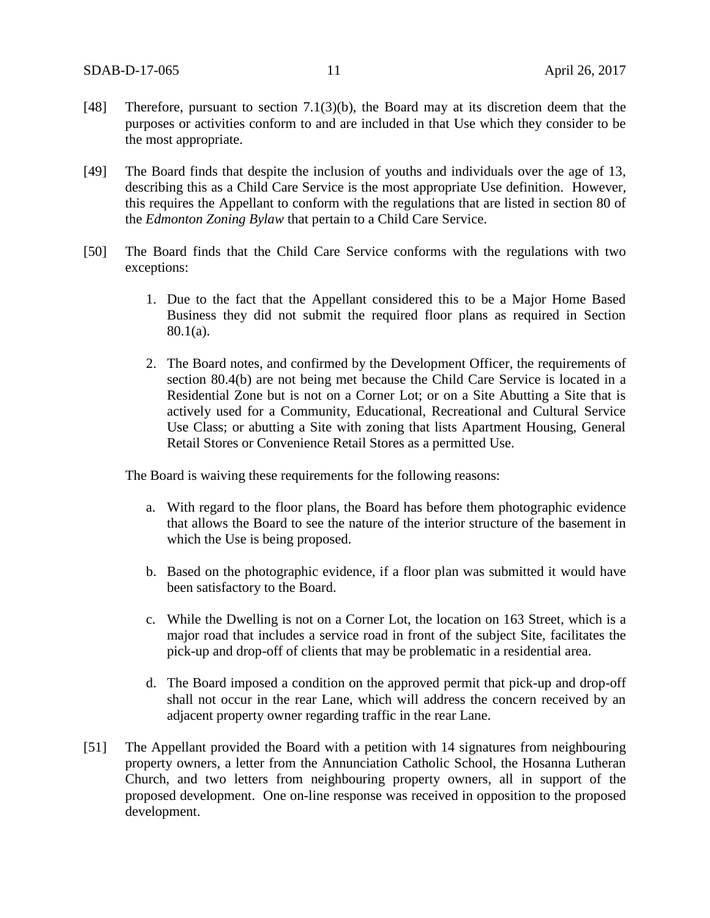- [48] Therefore, pursuant to section 7.1(3)(b), the Board may at its discretion deem that the purposes or activities conform to and are included in that Use which they consider to be the most appropriate.
- [49] The Board finds that despite the inclusion of youths and individuals over the age of 13, describing this as a Child Care Service is the most appropriate Use definition. However, this requires the Appellant to conform with the regulations that are listed in section 80 of the *Edmonton Zoning Bylaw* that pertain to a Child Care Service.
- [50] The Board finds that the Child Care Service conforms with the regulations with two exceptions:
	- 1. Due to the fact that the Appellant considered this to be a Major Home Based Business they did not submit the required floor plans as required in Section 80.1(a).
	- 2. The Board notes, and confirmed by the Development Officer, the requirements of section 80.4(b) are not being met because the Child Care Service is located in a Residential Zone but is not on a Corner Lot; or on a Site Abutting a Site that is actively used for a Community, Educational, Recreational and Cultural Service Use Class; or abutting a Site with zoning that lists Apartment Housing, General Retail Stores or Convenience Retail Stores as a permitted Use.

The Board is waiving these requirements for the following reasons:

- a. With regard to the floor plans, the Board has before them photographic evidence that allows the Board to see the nature of the interior structure of the basement in which the Use is being proposed.
- b. Based on the photographic evidence, if a floor plan was submitted it would have been satisfactory to the Board.
- c. While the Dwelling is not on a Corner Lot, the location on 163 Street, which is a major road that includes a service road in front of the subject Site, facilitates the pick-up and drop-off of clients that may be problematic in a residential area.
- d. The Board imposed a condition on the approved permit that pick-up and drop-off shall not occur in the rear Lane, which will address the concern received by an adjacent property owner regarding traffic in the rear Lane.
- [51] The Appellant provided the Board with a petition with 14 signatures from neighbouring property owners, a letter from the Annunciation Catholic School, the Hosanna Lutheran Church, and two letters from neighbouring property owners, all in support of the proposed development. One on-line response was received in opposition to the proposed development.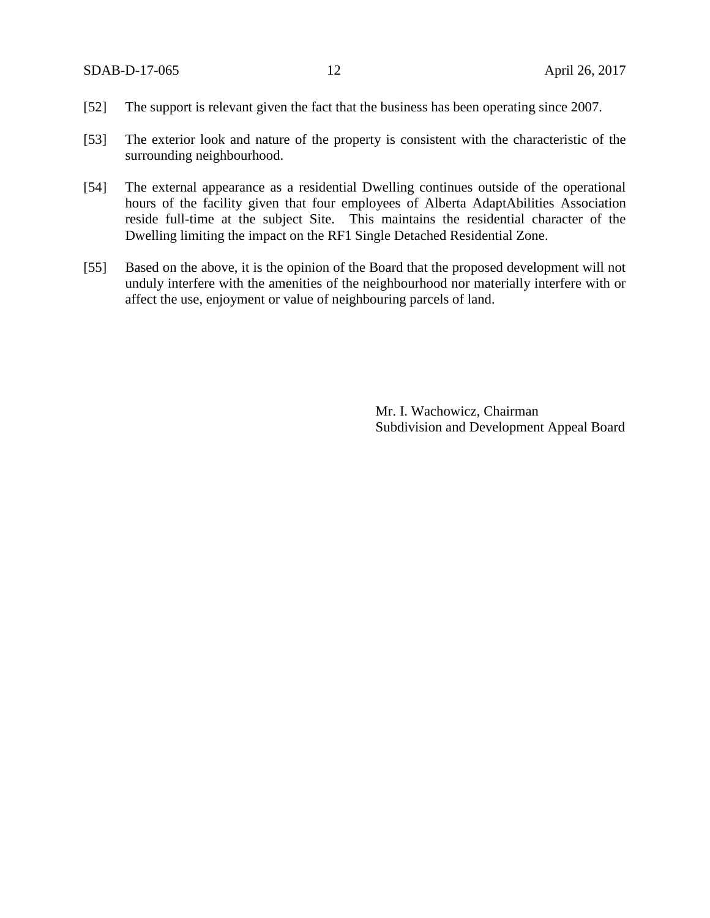- [52] The support is relevant given the fact that the business has been operating since 2007.
- [53] The exterior look and nature of the property is consistent with the characteristic of the surrounding neighbourhood.
- [54] The external appearance as a residential Dwelling continues outside of the operational hours of the facility given that four employees of Alberta AdaptAbilities Association reside full-time at the subject Site. This maintains the residential character of the Dwelling limiting the impact on the RF1 Single Detached Residential Zone.
- [55] Based on the above, it is the opinion of the Board that the proposed development will not unduly interfere with the amenities of the neighbourhood nor materially interfere with or affect the use, enjoyment or value of neighbouring parcels of land.

Mr. I. Wachowicz, Chairman Subdivision and Development Appeal Board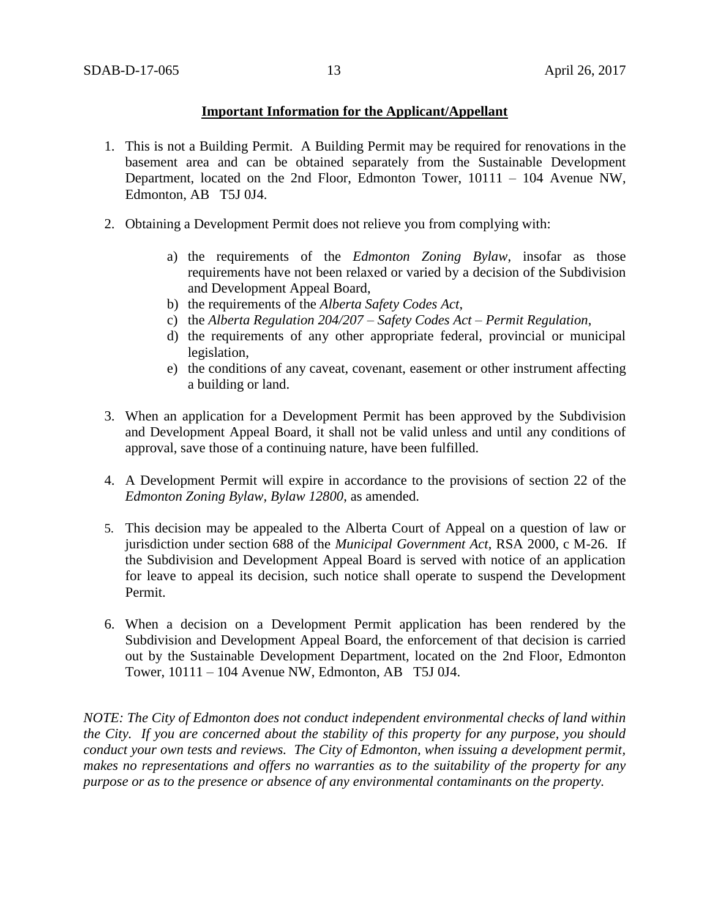### **Important Information for the Applicant/Appellant**

- 1. This is not a Building Permit. A Building Permit may be required for renovations in the basement area and can be obtained separately from the Sustainable Development Department, located on the 2nd Floor, Edmonton Tower, 10111 – 104 Avenue NW, Edmonton, AB T5J 0J4.
- 2. Obtaining a Development Permit does not relieve you from complying with:
	- a) the requirements of the *Edmonton Zoning Bylaw*, insofar as those requirements have not been relaxed or varied by a decision of the Subdivision and Development Appeal Board,
	- b) the requirements of the *Alberta Safety Codes Act*,
	- c) the *Alberta Regulation 204/207 – Safety Codes Act – Permit Regulation*,
	- d) the requirements of any other appropriate federal, provincial or municipal legislation,
	- e) the conditions of any caveat, covenant, easement or other instrument affecting a building or land.
- 3. When an application for a Development Permit has been approved by the Subdivision and Development Appeal Board, it shall not be valid unless and until any conditions of approval, save those of a continuing nature, have been fulfilled.
- 4. A Development Permit will expire in accordance to the provisions of section 22 of the *Edmonton Zoning Bylaw, Bylaw 12800*, as amended.
- 5. This decision may be appealed to the Alberta Court of Appeal on a question of law or jurisdiction under section 688 of the *Municipal Government Act*, RSA 2000, c M-26. If the Subdivision and Development Appeal Board is served with notice of an application for leave to appeal its decision, such notice shall operate to suspend the Development Permit.
- 6. When a decision on a Development Permit application has been rendered by the Subdivision and Development Appeal Board, the enforcement of that decision is carried out by the Sustainable Development Department, located on the 2nd Floor, Edmonton Tower, 10111 – 104 Avenue NW, Edmonton, AB T5J 0J4.

*NOTE: The City of Edmonton does not conduct independent environmental checks of land within the City. If you are concerned about the stability of this property for any purpose, you should conduct your own tests and reviews. The City of Edmonton, when issuing a development permit, makes no representations and offers no warranties as to the suitability of the property for any purpose or as to the presence or absence of any environmental contaminants on the property.*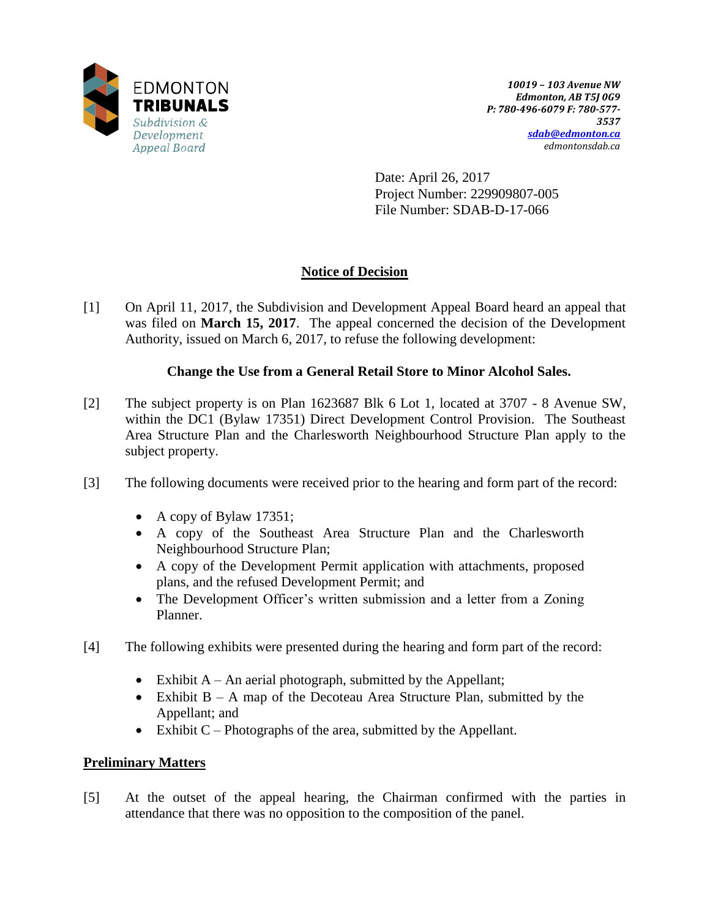

Date: April 26, 2017 Project Number: 229909807-005 File Number: SDAB-D-17-066

# **Notice of Decision**

[1] On April 11, 2017, the Subdivision and Development Appeal Board heard an appeal that was filed on **March 15, 2017**. The appeal concerned the decision of the Development Authority, issued on March 6, 2017, to refuse the following development:

## **Change the Use from a General Retail Store to Minor Alcohol Sales.**

- [2] The subject property is on Plan 1623687 Blk 6 Lot 1, located at 3707 8 Avenue SW, within the DC1 (Bylaw 17351) Direct Development Control Provision. The Southeast Area Structure Plan and the Charlesworth Neighbourhood Structure Plan apply to the subject property.
- [3] The following documents were received prior to the hearing and form part of the record:
	- A copy of Bylaw 17351;
	- A copy of the Southeast Area Structure Plan and the Charlesworth Neighbourhood Structure Plan;
	- A copy of the Development Permit application with attachments, proposed plans, and the refused Development Permit; and
	- The Development Officer's written submission and a letter from a Zoning Planner.
- [4] The following exhibits were presented during the hearing and form part of the record:
	- Exhibit  $A An$  aerial photograph, submitted by the Appellant;
	- Exhibit  $B A$  map of the Decoteau Area Structure Plan, submitted by the Appellant; and
	- Exhibit  $C$  Photographs of the area, submitted by the Appellant.

# **Preliminary Matters**

[5] At the outset of the appeal hearing, the Chairman confirmed with the parties in attendance that there was no opposition to the composition of the panel.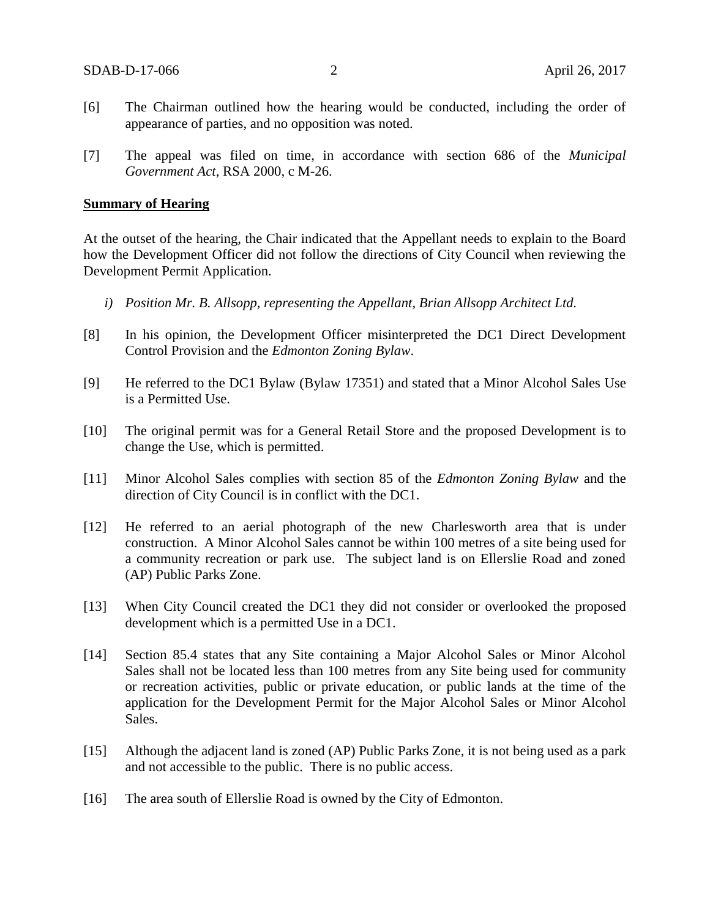- [6] The Chairman outlined how the hearing would be conducted, including the order of appearance of parties, and no opposition was noted.
- [7] The appeal was filed on time, in accordance with section 686 of the *Municipal Government Act*, RSA 2000, c M-26.

#### **Summary of Hearing**

At the outset of the hearing, the Chair indicated that the Appellant needs to explain to the Board how the Development Officer did not follow the directions of City Council when reviewing the Development Permit Application.

- *i) Position Mr. B. Allsopp, representing the Appellant, Brian Allsopp Architect Ltd.*
- [8] In his opinion, the Development Officer misinterpreted the DC1 Direct Development Control Provision and the *Edmonton Zoning Bylaw*.
- [9] He referred to the DC1 Bylaw (Bylaw 17351) and stated that a Minor Alcohol Sales Use is a Permitted Use.
- [10] The original permit was for a General Retail Store and the proposed Development is to change the Use, which is permitted.
- [11] Minor Alcohol Sales complies with section 85 of the *Edmonton Zoning Bylaw* and the direction of City Council is in conflict with the DC1.
- [12] He referred to an aerial photograph of the new Charlesworth area that is under construction. A Minor Alcohol Sales cannot be within 100 metres of a site being used for a community recreation or park use. The subject land is on Ellerslie Road and zoned (AP) Public Parks Zone.
- [13] When City Council created the DC1 they did not consider or overlooked the proposed development which is a permitted Use in a DC1.
- [14] Section 85.4 states that any Site containing a Major Alcohol Sales or Minor Alcohol Sales shall not be located less than 100 metres from any Site being used for community or recreation activities, public or private education, or public lands at the time of the application for the Development Permit for the Major Alcohol Sales or Minor Alcohol Sales.
- [15] Although the adjacent land is zoned (AP) Public Parks Zone, it is not being used as a park and not accessible to the public. There is no public access.
- [16] The area south of Ellerslie Road is owned by the City of Edmonton.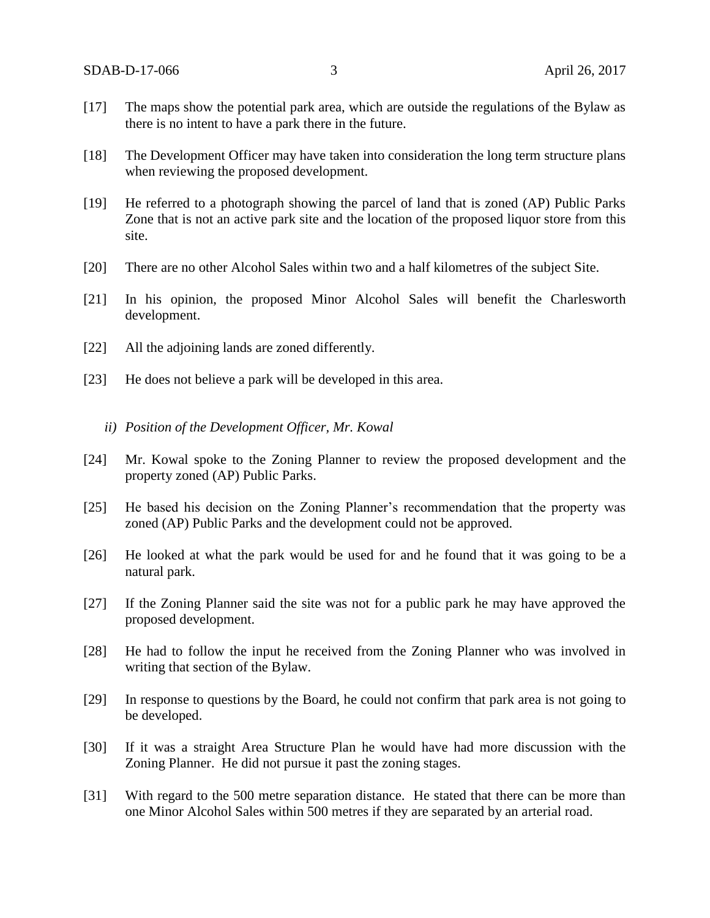- [17] The maps show the potential park area, which are outside the regulations of the Bylaw as there is no intent to have a park there in the future.
- [18] The Development Officer may have taken into consideration the long term structure plans when reviewing the proposed development.
- [19] He referred to a photograph showing the parcel of land that is zoned (AP) Public Parks Zone that is not an active park site and the location of the proposed liquor store from this site.
- [20] There are no other Alcohol Sales within two and a half kilometres of the subject Site.
- [21] In his opinion, the proposed Minor Alcohol Sales will benefit the Charlesworth development.
- [22] All the adjoining lands are zoned differently.
- [23] He does not believe a park will be developed in this area.
	- *ii) Position of the Development Officer, Mr. Kowal*
- [24] Mr. Kowal spoke to the Zoning Planner to review the proposed development and the property zoned (AP) Public Parks.
- [25] He based his decision on the Zoning Planner's recommendation that the property was zoned (AP) Public Parks and the development could not be approved.
- [26] He looked at what the park would be used for and he found that it was going to be a natural park.
- [27] If the Zoning Planner said the site was not for a public park he may have approved the proposed development.
- [28] He had to follow the input he received from the Zoning Planner who was involved in writing that section of the Bylaw.
- [29] In response to questions by the Board, he could not confirm that park area is not going to be developed.
- [30] If it was a straight Area Structure Plan he would have had more discussion with the Zoning Planner. He did not pursue it past the zoning stages.
- [31] With regard to the 500 metre separation distance. He stated that there can be more than one Minor Alcohol Sales within 500 metres if they are separated by an arterial road.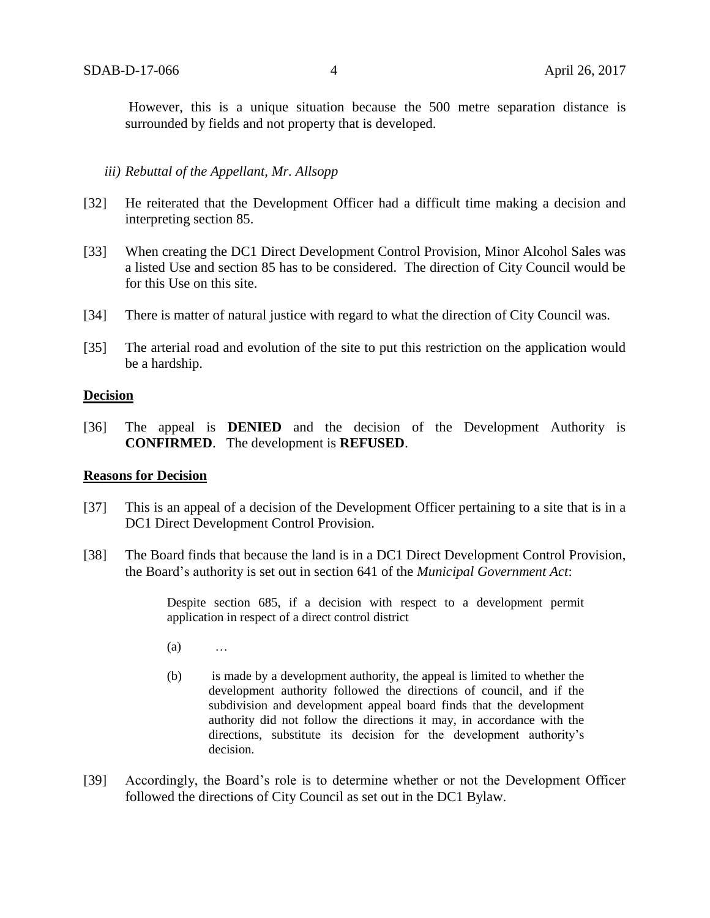However, this is a unique situation because the 500 metre separation distance is surrounded by fields and not property that is developed.

#### *iii) Rebuttal of the Appellant, Mr. Allsopp*

- [32] He reiterated that the Development Officer had a difficult time making a decision and interpreting section 85.
- [33] When creating the DC1 Direct Development Control Provision, Minor Alcohol Sales was a listed Use and section 85 has to be considered. The direction of City Council would be for this Use on this site.
- [34] There is matter of natural justice with regard to what the direction of City Council was.
- [35] The arterial road and evolution of the site to put this restriction on the application would be a hardship.

#### **Decision**

[36] The appeal is **DENIED** and the decision of the Development Authority is **CONFIRMED**. The development is **REFUSED**.

#### **Reasons for Decision**

- [37] This is an appeal of a decision of the Development Officer pertaining to a site that is in a DC1 Direct Development Control Provision.
- [38] The Board finds that because the land is in a DC1 Direct Development Control Provision, the Board's authority is set out in section 641 of the *Municipal Government Act*:

Despite section 685, if a decision with respect to a development permit application in respect of a direct control district

- (a) …
- (b) is made by a development authority, the appeal is limited to whether the development authority followed the directions of council, and if the subdivision and development appeal board finds that the development authority did not follow the directions it may, in accordance with the directions, substitute its decision for the development authority's decision.
- [39] Accordingly, the Board's role is to determine whether or not the Development Officer followed the directions of City Council as set out in the DC1 Bylaw.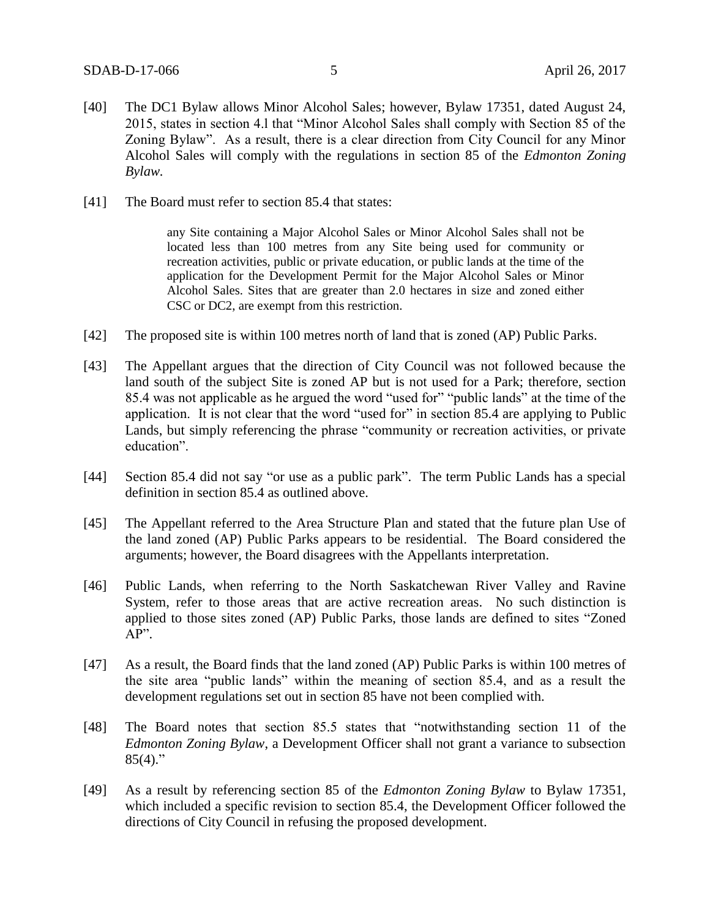- [40] The DC1 Bylaw allows Minor Alcohol Sales; however, Bylaw 17351, dated August 24, 2015, states in section 4.l that "Minor Alcohol Sales shall comply with Section 85 of the Zoning Bylaw". As a result, there is a clear direction from City Council for any Minor Alcohol Sales will comply with the regulations in section 85 of the *Edmonton Zoning Bylaw.*
- [41] The Board must refer to section 85.4 that states:

any Site containing a Major Alcohol Sales or Minor Alcohol Sales shall not be located less than 100 metres from any Site being used for community or recreation activities, public or private education, or public lands at the time of the application for the Development Permit for the Major Alcohol Sales or Minor Alcohol Sales. Sites that are greater than 2.0 hectares in size and zoned either CSC or DC2, are exempt from this restriction.

- [42] The proposed site is within 100 metres north of land that is zoned (AP) Public Parks.
- [43] The Appellant argues that the direction of City Council was not followed because the land south of the subject Site is zoned AP but is not used for a Park; therefore, section 85.4 was not applicable as he argued the word "used for" "public lands" at the time of the application. It is not clear that the word "used for" in section 85.4 are applying to Public Lands, but simply referencing the phrase "community or recreation activities, or private education".
- [44] Section 85.4 did not say "or use as a public park". The term Public Lands has a special definition in section 85.4 as outlined above.
- [45] The Appellant referred to the Area Structure Plan and stated that the future plan Use of the land zoned (AP) Public Parks appears to be residential. The Board considered the arguments; however, the Board disagrees with the Appellants interpretation.
- [46] Public Lands, when referring to the North Saskatchewan River Valley and Ravine System, refer to those areas that are active recreation areas. No such distinction is applied to those sites zoned (AP) Public Parks, those lands are defined to sites "Zoned AP".
- [47] As a result, the Board finds that the land zoned (AP) Public Parks is within 100 metres of the site area "public lands" within the meaning of section 85.4, and as a result the development regulations set out in section 85 have not been complied with.
- [48] The Board notes that section 85.5 states that "notwithstanding section 11 of the *Edmonton Zoning Bylaw*, a Development Officer shall not grant a variance to subsection  $85(4)$ ."
- [49] As a result by referencing section 85 of the *Edmonton Zoning Bylaw* to Bylaw 17351, which included a specific revision to section 85.4, the Development Officer followed the directions of City Council in refusing the proposed development.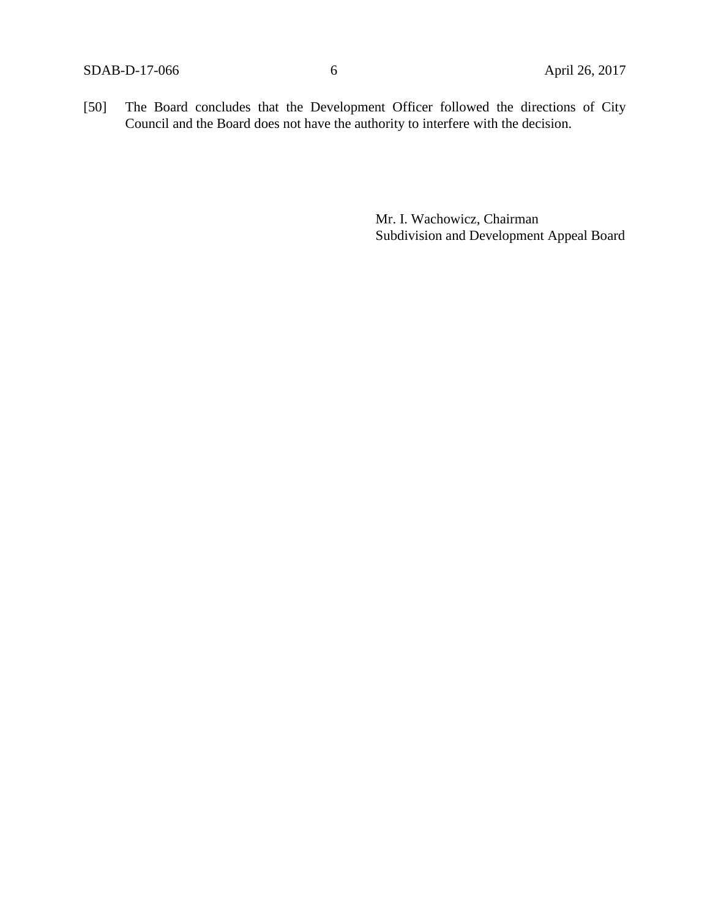[50] The Board concludes that the Development Officer followed the directions of City Council and the Board does not have the authority to interfere with the decision.

> Mr. I. Wachowicz, Chairman Subdivision and Development Appeal Board